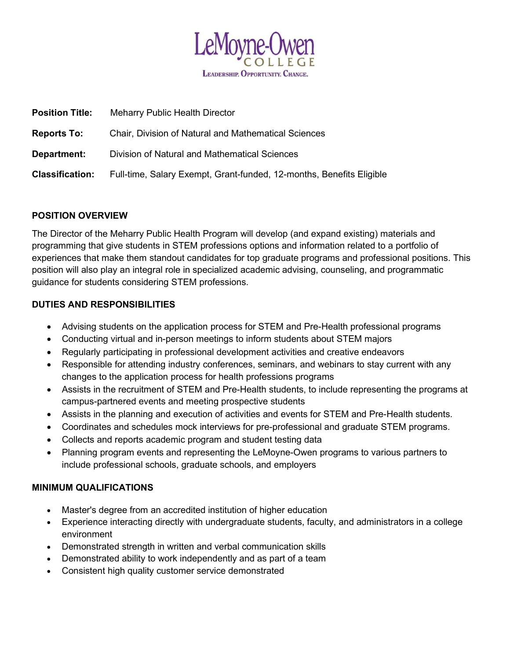

| <b>Position Title:</b> | <b>Meharry Public Health Director</b>                                |
|------------------------|----------------------------------------------------------------------|
| <b>Reports To:</b>     | <b>Chair, Division of Natural and Mathematical Sciences</b>          |
| Department:            | Division of Natural and Mathematical Sciences                        |
| <b>Classification:</b> | Full-time, Salary Exempt, Grant-funded, 12-months, Benefits Eligible |

# POSITION OVERVIEW

The Director of the Meharry Public Health Program will develop (and expand existing) materials and programming that give students in STEM professions options and information related to a portfolio of experiences that make them standout candidates for top graduate programs and professional positions. This position will also play an integral role in specialized academic advising, counseling, and programmatic guidance for students considering STEM professions.

# DUTIES AND RESPONSIBILITIES

- Advising students on the application process for STEM and Pre-Health professional programs
- Conducting virtual and in-person meetings to inform students about STEM majors
- Regularly participating in professional development activities and creative endeavors
- Responsible for attending industry conferences, seminars, and webinars to stay current with any changes to the application process for health professions programs
- Assists in the recruitment of STEM and Pre-Health students, to include representing the programs at campus-partnered events and meeting prospective students
- Assists in the planning and execution of activities and events for STEM and Pre-Health students.
- Coordinates and schedules mock interviews for pre-professional and graduate STEM programs.
- Collects and reports academic program and student testing data
- Planning program events and representing the LeMoyne-Owen programs to various partners to include professional schools, graduate schools, and employers

## MINIMUM QUALIFICATIONS

- Master's degree from an accredited institution of higher education
- Experience interacting directly with undergraduate students, faculty, and administrators in a college environment
- Demonstrated strength in written and verbal communication skills
- Demonstrated ability to work independently and as part of a team
- Consistent high quality customer service demonstrated